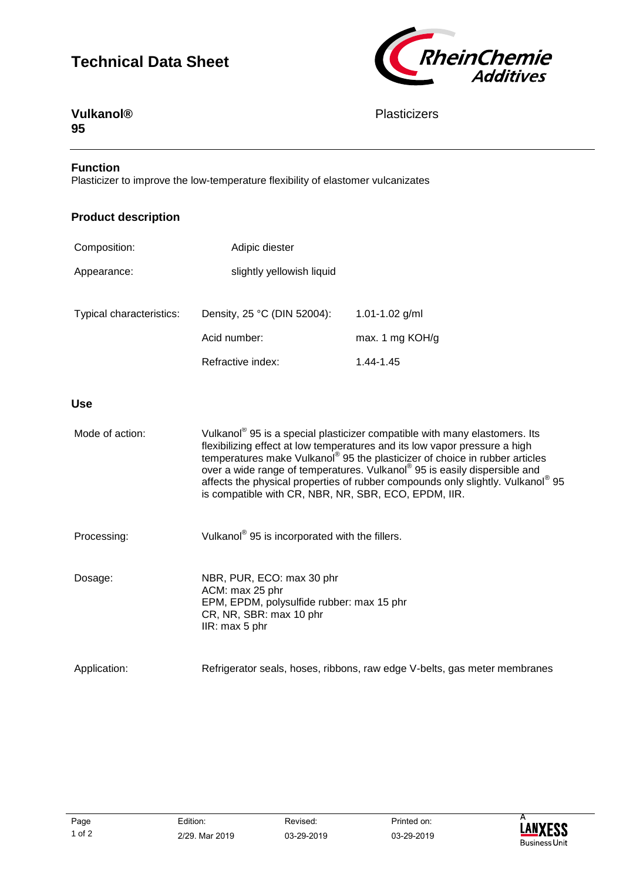# **Technical Data Sheet**



# **Vulkanol® 95**

# **Plasticizers**

### **Function**

Plasticizer to improve the low-temperature flexibility of elastomer vulcanizates

# **Product description**

| Composition:             | Adipic diester              |                  |
|--------------------------|-----------------------------|------------------|
| Appearance:              | slightly yellowish liquid   |                  |
| Typical characteristics: | Density, 25 °C (DIN 52004): | 1.01-1.02 $g/ml$ |
|                          | Acid number:                | max. 1 mg KOH/g  |
|                          | Refractive index:           | 1.44-1.45        |

### **Use**

| Mode of action: | Vulkanol <sup>®</sup> 95 is a special plasticizer compatible with many elastomers. Its<br>flexibilizing effect at low temperatures and its low vapor pressure a high<br>temperatures make Vulkanol <sup>®</sup> 95 the plasticizer of choice in rubber articles<br>over a wide range of temperatures. Vulkanol® 95 is easily dispersible and<br>affects the physical properties of rubber compounds only slightly. Vulkanol <sup>®</sup> 95<br>is compatible with CR, NBR, NR, SBR, ECO, EPDM, IIR. |
|-----------------|-----------------------------------------------------------------------------------------------------------------------------------------------------------------------------------------------------------------------------------------------------------------------------------------------------------------------------------------------------------------------------------------------------------------------------------------------------------------------------------------------------|
| Processing:     | Vulkanol <sup>®</sup> 95 is incorporated with the fillers.                                                                                                                                                                                                                                                                                                                                                                                                                                          |
| Dosage:         | NBR, PUR, ECO: max 30 phr<br>ACM: max 25 phr<br>EPM, EPDM, polysulfide rubber: max 15 phr<br>CR, NR, SBR: max 10 phr<br>IIR: max 5 phr                                                                                                                                                                                                                                                                                                                                                              |
| Application:    | Refrigerator seals, hoses, ribbons, raw edge V-belts, gas meter membranes                                                                                                                                                                                                                                                                                                                                                                                                                           |